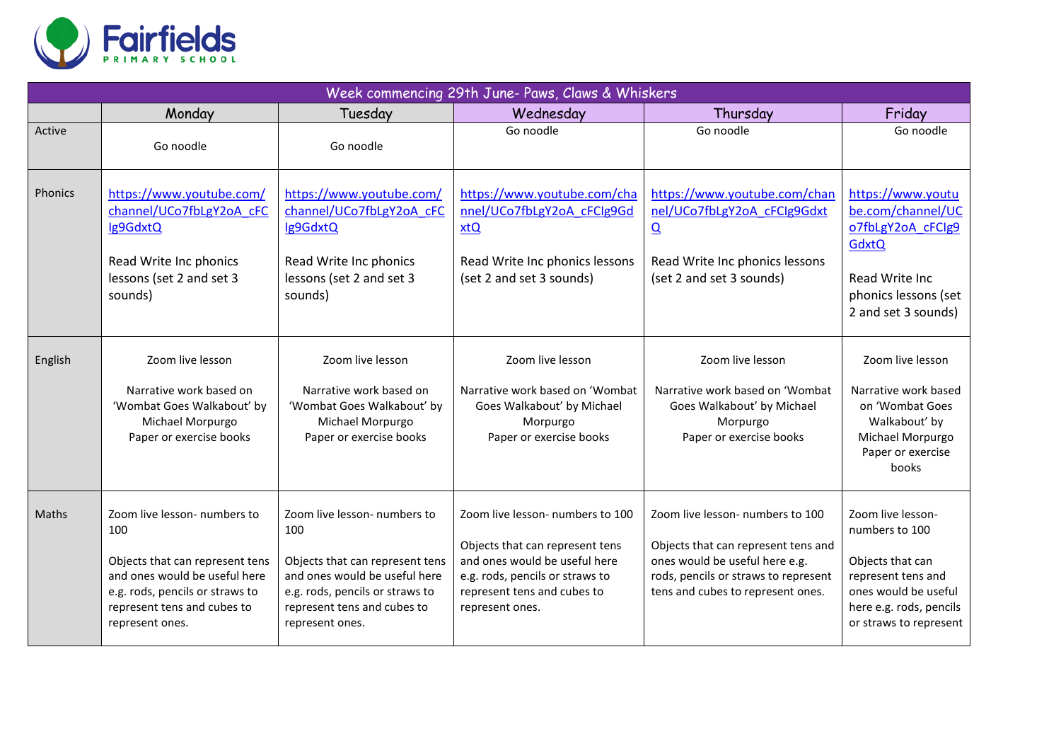

| Week commencing 29th June- Paws, Claws & Whiskers |                                                                                                                                                                                              |                                                                                                                                                                                              |                                                                                                                                                                                           |                                                                                                                                                                                        |                                                                                                                                                            |  |  |
|---------------------------------------------------|----------------------------------------------------------------------------------------------------------------------------------------------------------------------------------------------|----------------------------------------------------------------------------------------------------------------------------------------------------------------------------------------------|-------------------------------------------------------------------------------------------------------------------------------------------------------------------------------------------|----------------------------------------------------------------------------------------------------------------------------------------------------------------------------------------|------------------------------------------------------------------------------------------------------------------------------------------------------------|--|--|
|                                                   | Monday                                                                                                                                                                                       | Tuesday                                                                                                                                                                                      | Wednesday                                                                                                                                                                                 | Thursday                                                                                                                                                                               | Friday                                                                                                                                                     |  |  |
| Active                                            | Go noodle                                                                                                                                                                                    | Go noodle                                                                                                                                                                                    | Go noodle                                                                                                                                                                                 | Go noodle                                                                                                                                                                              | Go noodle                                                                                                                                                  |  |  |
| <b>Phonics</b>                                    | https://www.youtube.com/<br>channel/UCo7fbLgY2oA cFC<br>Ig9GdxtQ<br>Read Write Inc phonics<br>lessons (set 2 and set 3<br>sounds)                                                            | https://www.youtube.com/<br>channel/UCo7fbLgY2oA cFC<br>Ig9GdxtQ<br>Read Write Inc phonics<br>lessons (set 2 and set 3<br>sounds)                                                            | https://www.youtube.com/cha<br>nnel/UCo7fbLgY2oA cFClg9Gd<br>xtQ<br>Read Write Inc phonics lessons<br>(set 2 and set 3 sounds)                                                            | https://www.youtube.com/chan<br>nel/UCo7fbLgY2oA cFClg9Gdxt<br>$\overline{\mathbf{Q}}$<br>Read Write Inc phonics lessons<br>(set 2 and set 3 sounds)                                   | https://www.youtu<br>be.com/channel/UC<br>o7fbLgY2oA cFClg9<br><b>GdxtQ</b><br>Read Write Inc<br>phonics lessons (set<br>2 and set 3 sounds)               |  |  |
| English                                           | Zoom live lesson<br>Narrative work based on<br>'Wombat Goes Walkabout' by<br>Michael Morpurgo<br>Paper or exercise books                                                                     | Zoom live lesson<br>Narrative work based on<br>'Wombat Goes Walkabout' by<br>Michael Morpurgo<br>Paper or exercise books                                                                     | Zoom live lesson<br>Narrative work based on 'Wombat<br>Goes Walkabout' by Michael<br>Morpurgo<br>Paper or exercise books                                                                  | Zoom live lesson<br>Narrative work based on 'Wombat<br>Goes Walkabout' by Michael<br>Morpurgo<br>Paper or exercise books                                                               | Zoom live lesson<br>Narrative work based<br>on 'Wombat Goes<br>Walkabout' by<br>Michael Morpurgo<br>Paper or exercise<br>books                             |  |  |
| Maths                                             | Zoom live lesson- numbers to<br>100<br>Objects that can represent tens<br>and ones would be useful here<br>e.g. rods, pencils or straws to<br>represent tens and cubes to<br>represent ones. | Zoom live lesson- numbers to<br>100<br>Objects that can represent tens<br>and ones would be useful here<br>e.g. rods, pencils or straws to<br>represent tens and cubes to<br>represent ones. | Zoom live lesson- numbers to 100<br>Objects that can represent tens<br>and ones would be useful here<br>e.g. rods, pencils or straws to<br>represent tens and cubes to<br>represent ones. | Zoom live lesson- numbers to 100<br>Objects that can represent tens and<br>ones would be useful here e.g.<br>rods, pencils or straws to represent<br>tens and cubes to represent ones. | Zoom live lesson-<br>numbers to 100<br>Objects that can<br>represent tens and<br>ones would be useful<br>here e.g. rods, pencils<br>or straws to represent |  |  |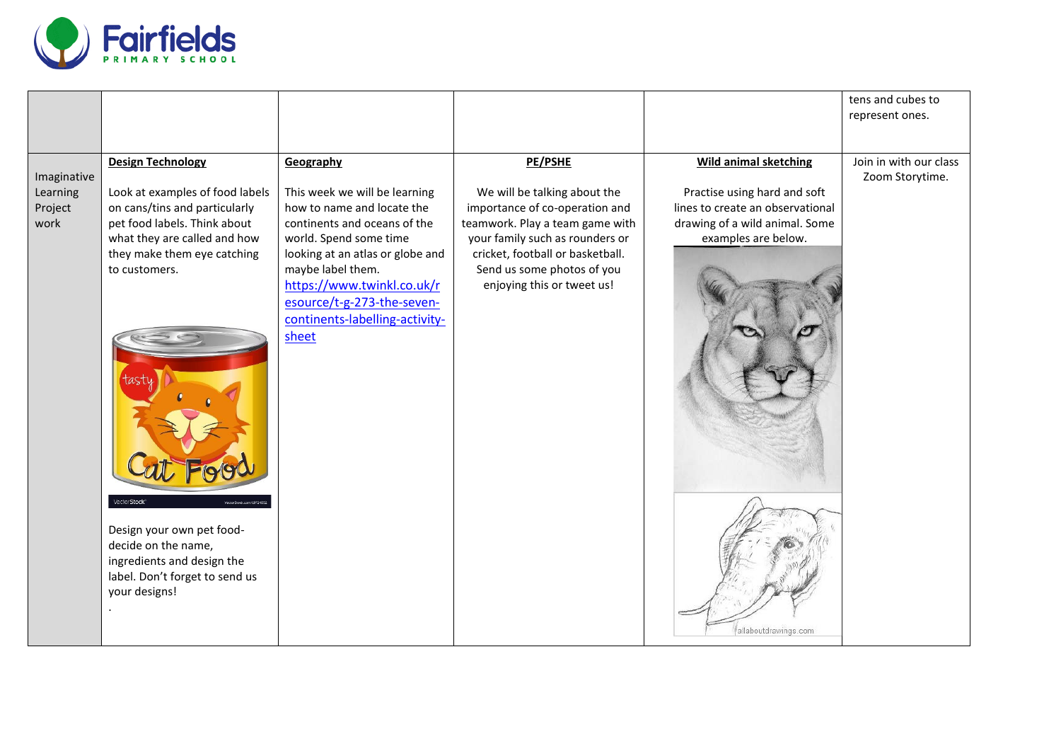

|                                            |                                                                                                                                                                                                              |                                                                                                                                                                                             |                                                                                                                                                                                                                   |                                                                                                                                                           | tens and cubes to                         |
|--------------------------------------------|--------------------------------------------------------------------------------------------------------------------------------------------------------------------------------------------------------------|---------------------------------------------------------------------------------------------------------------------------------------------------------------------------------------------|-------------------------------------------------------------------------------------------------------------------------------------------------------------------------------------------------------------------|-----------------------------------------------------------------------------------------------------------------------------------------------------------|-------------------------------------------|
|                                            |                                                                                                                                                                                                              |                                                                                                                                                                                             |                                                                                                                                                                                                                   |                                                                                                                                                           | represent ones.                           |
|                                            |                                                                                                                                                                                                              |                                                                                                                                                                                             |                                                                                                                                                                                                                   |                                                                                                                                                           |                                           |
| Imaginative<br>Learning<br>Project<br>work | <b>Design Technology</b><br>Look at examples of food labels<br>on cans/tins and particularly<br>pet food labels. Think about<br>what they are called and how<br>they make them eye catching<br>to customers. | Geography<br>This week we will be learning<br>how to name and locate the<br>continents and oceans of the<br>world. Spend some time<br>looking at an atlas or globe and<br>maybe label them. | PE/PSHE<br>We will be talking about the<br>importance of co-operation and<br>teamwork. Play a team game with<br>your family such as rounders or<br>cricket, football or basketball.<br>Send us some photos of you | <b>Wild animal sketching</b><br>Practise using hard and soft<br>lines to create an observational<br>drawing of a wild animal. Some<br>examples are below. | Join in with our class<br>Zoom Storytime. |
|                                            | VectorStock <sup>®</sup><br>Design your own pet food-<br>decide on the name,<br>ingredients and design the<br>label. Don't forget to send us<br>your designs!                                                | https://www.twinkl.co.uk/r<br>esource/t-g-273-the-seven-<br>continents-labelling-activity-<br>sheet                                                                                         | enjoying this or tweet us!                                                                                                                                                                                        | allaboutdrawings.com                                                                                                                                      |                                           |